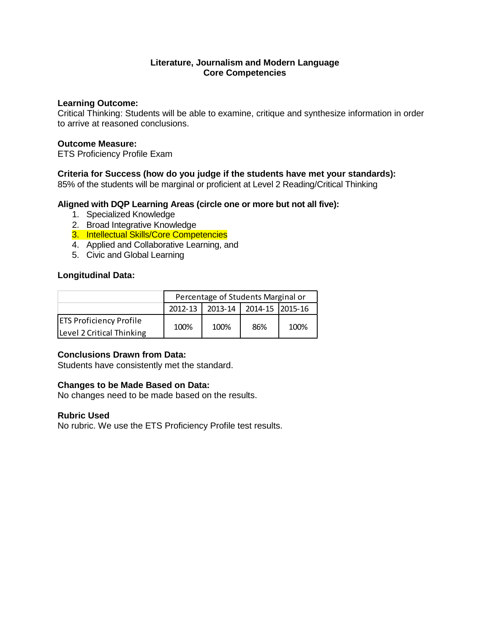### **Literature, Journalism and Modern Language Core Competencies**

#### **Learning Outcome:**

Critical Thinking: Students will be able to examine, critique and synthesize information in order to arrive at reasoned conclusions.

#### **Outcome Measure:**

ETS Proficiency Profile Exam

# **Criteria for Success (how do you judge if the students have met your standards):**

85% of the students will be marginal or proficient at Level 2 Reading/Critical Thinking

## **Aligned with DQP Learning Areas (circle one or more but not all five):**

- 1. Specialized Knowledge
- 2. Broad Integrative Knowledge
- 3. Intellectual Skills/Core Competencies
- 4. Applied and Collaborative Learning, and
- 5. Civic and Global Learning

## **Longitudinal Data:**

|                                                             | Percentage of Students Marginal or |      |                             |      |  |
|-------------------------------------------------------------|------------------------------------|------|-----------------------------|------|--|
|                                                             | 2012-13                            |      | 2013-14   2014-15   2015-16 |      |  |
| <b>ETS Proficiency Profile</b><br>Level 2 Critical Thinking | 100%                               | 100% | 86%                         | 100% |  |

## **Conclusions Drawn from Data:**

Students have consistently met the standard.

## **Changes to be Made Based on Data:**

No changes need to be made based on the results.

#### **Rubric Used**

No rubric. We use the ETS Proficiency Profile test results.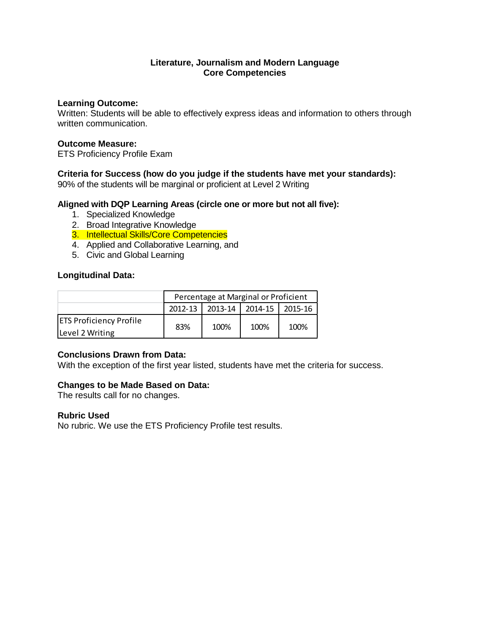### **Literature, Journalism and Modern Language Core Competencies**

#### **Learning Outcome:**

Written: Students will be able to effectively express ideas and information to others through written communication.

### **Outcome Measure:**

ETS Proficiency Profile Exam

# **Criteria for Success (how do you judge if the students have met your standards):**

90% of the students will be marginal or proficient at Level 2 Writing

# **Aligned with DQP Learning Areas (circle one or more but not all five):**

- 1. Specialized Knowledge
- 2. Broad Integrative Knowledge
- 3. Intellectual Skills/Core Competencies
- 4. Applied and Collaborative Learning, and
- 5. Civic and Global Learning

## **Longitudinal Data:**

|                                | Percentage at Marginal or Proficient |      |                 |         |  |
|--------------------------------|--------------------------------------|------|-----------------|---------|--|
|                                | 2012-13                              |      | 2013-14 2014-15 | 2015-16 |  |
| <b>ETS Proficiency Profile</b> | 83%                                  | 100% | 100%            | 100%    |  |
| Level 2 Writing                |                                      |      |                 |         |  |

## **Conclusions Drawn from Data:**

With the exception of the first year listed, students have met the criteria for success.

## **Changes to be Made Based on Data:**

The results call for no changes.

#### **Rubric Used**

No rubric. We use the ETS Proficiency Profile test results.